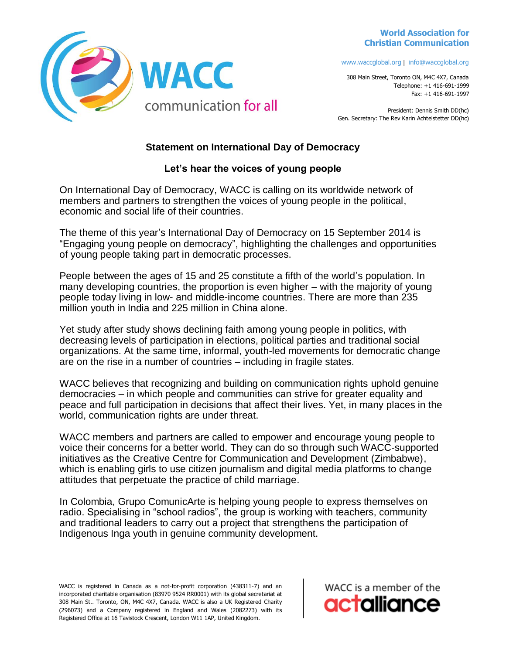## **World Association for Christian Communication**



www.waccglobal.org | info@waccglobal.org

308 Main Street, Toronto ON, M4C 4X7, Canada Telephone: +1 416-691-1999 Fax: +1 416-691-1997

President: Dennis Smith DD(hc) Gen. Secretary: The Rev Karin Achtelstetter DD(hc)

## **Statement on International Day of Democracy**

## **Let's hear the voices of young people**

On International Day of Democracy, WACC is calling on its worldwide network of members and partners to strengthen the voices of young people in the political, economic and social life of their countries.

The theme of this year's International Day of Democracy on 15 September 2014 is "Engaging young people on democracy", highlighting the challenges and opportunities of young people taking part in democratic processes.

People between the ages of 15 and 25 constitute a fifth of the world's population. In many developing countries, the proportion is even higher – with the majority of young people today living in low- and middle-income countries. There are more than 235 million youth in India and 225 million in China alone.

Yet study after study shows declining faith among young people in politics, with decreasing levels of participation in elections, political parties and traditional social organizations. At the same time, informal, youth-led movements for democratic change are on the rise in a number of countries – including in fragile states.

WACC believes that recognizing and building on communication rights uphold genuine democracies – in which people and communities can strive for greater equality and peace and full participation in decisions that affect their lives. Yet, in many places in the world, communication rights are under threat.

WACC members and partners are called to empower and encourage young people to voice their concerns for a better world. They can do so through such WACC-supported initiatives as the Creative Centre for Communication and Development (Zimbabwe), which is enabling girls to use citizen journalism and digital media platforms to change attitudes that perpetuate the practice of child marriage.

In Colombia, Grupo ComunicArte is helping young people to express themselves on radio. Specialising in "school radios", the group is working with teachers, community and traditional leaders to carry out a project that strengthens the participation of Indigenous Inga youth in genuine community development.

WACC is registered in Canada as a not-for-profit corporation (438311-7) and an incorporated charitable organisation (83970 9524 RR0001) with its global secretariat at 308 Main St.. Toronto, ON, M4C 4X7, Canada. WACC is also a UK Registered Charity (296073) and a Company registered in England and Wales (2082273) with its Registered Office at 16 Tavistock Crescent, London W11 1AP, United Kingdom.